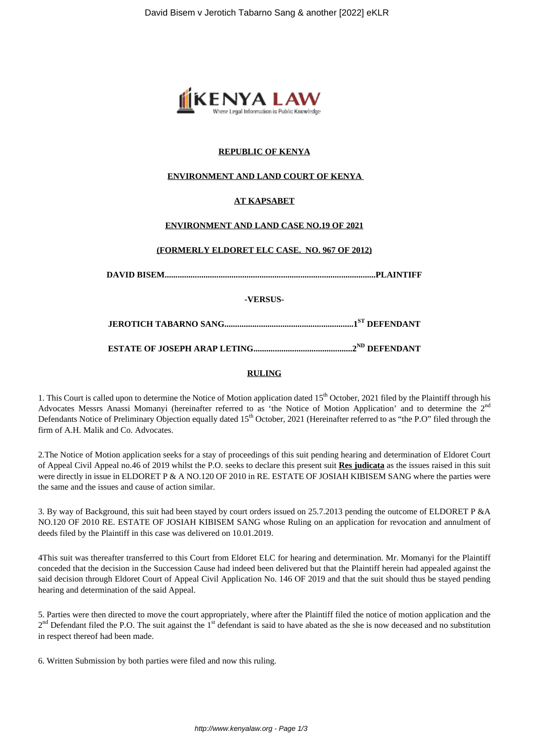

## **REPUBLIC OF KENYA**

### **ENVIRONMENT AND LAND COURT OF KENYA**

## **AT KAPSABET**

#### **ENVIRONMENT AND LAND CASE NO.19 OF 2021**

# **(FORMERLY ELDORET ELC CASE. NO. 967 OF 2012)**

**DAVID BISEM..................................................................................................PLAINTIFF**

**-VERSUS-**

**JEROTICH TABARNO SANG............................................................1ST DEFENDANT**

**ESTATE OF JOSEPH ARAP LETING..............................................2ND DEFENDANT**

#### **RULING**

1. This Court is called upon to determine the Notice of Motion application dated 15<sup>th</sup> October, 2021 filed by the Plaintiff through his Advocates Messrs Anassi Momanyi (hereinafter referred to as 'the Notice of Motion Application' and to determine the 2<sup>nd</sup> Defendants Notice of Preliminary Objection equally dated 15<sup>th</sup> October, 2021 (Hereinafter referred to as "the P.O" filed through the firm of A.H. Malik and Co. Advocates.

2.The Notice of Motion application seeks for a stay of proceedings of this suit pending hearing and determination of Eldoret Court of Appeal Civil Appeal no.46 of 2019 whilst the P.O. seeks to declare this present suit **Res judicata** as the issues raised in this suit were directly in issue in ELDORET P & A NO.120 OF 2010 in RE. ESTATE OF JOSIAH KIBISEM SANG where the parties were the same and the issues and cause of action similar.

3. By way of Background, this suit had been stayed by court orders issued on 25.7.2013 pending the outcome of ELDORET P &A NO.120 OF 2010 RE. ESTATE OF JOSIAH KIBISEM SANG whose Ruling on an application for revocation and annulment of deeds filed by the Plaintiff in this case was delivered on 10.01.2019.

4This suit was thereafter transferred to this Court from Eldoret ELC for hearing and determination. Mr. Momanyi for the Plaintiff conceded that the decision in the Succession Cause had indeed been delivered but that the Plaintiff herein had appealed against the said decision through Eldoret Court of Appeal Civil Application No. 146 OF 2019 and that the suit should thus be stayed pending hearing and determination of the said Appeal.

5. Parties were then directed to move the court appropriately, where after the Plaintiff filed the notice of motion application and the  $2<sup>nd</sup>$  Defendant filed the P.O. The suit against the 1<sup>st</sup> defendant is said to have abated as the she is now deceased and no substitution in respect thereof had been made.

6. Written Submission by both parties were filed and now this ruling.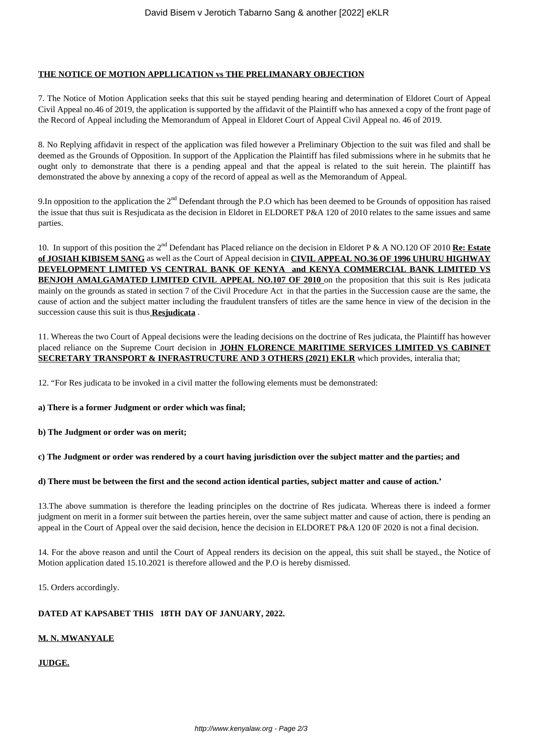### **THE NOTICE OF MOTION APPLLICATION vs THE PRELIMANARY OBJECTION**

7. The Notice of Motion Application seeks that this suit be stayed pending hearing and determination of Eldoret Court of Appeal Civil Appeal no.46 of 2019, the application is supported by the affidavit of the Plaintiff who has annexed a copy of the front page of the Record of Appeal including the Memorandum of Appeal in Eldoret Court of Appeal Civil Appeal no. 46 of 2019.

8. No Replying affidavit in respect of the application was filed however a Preliminary Objection to the suit was filed and shall be deemed as the Grounds of Opposition. In support of the Application the Plaintiff has filed submissions where in he submits that he ought only to demonstrate that there is a pending appeal and that the appeal is related to the suit herein. The plaintiff has demonstrated the above by annexing a copy of the record of appeal as well as the Memorandum of Appeal.

9. In opposition to the application the  $2<sup>nd</sup>$  Defendant through the P.O which has been deemed to be Grounds of opposition has raised the issue that thus suit is Resjudicata as the decision in Eldoret in ELDORET P&A 120 of 2010 relates to the same issues and same parties.

10. In support of this position the 2nd Defendant has Placed reliance on the decision in Eldoret P & A NO.120 OF 2010 **Re: Estate of JOSIAH KIBISEM SANG** as well as the Court of Appeal decision in **CIVIL APPEAL NO.36 OF 1996 UHURU HIGHWAY DEVELOPMENT LIMITED VS CENTRAL BANK OF KENYA and KENYA COMMERCIAL BANK LIMITED VS BENJOH AMALGAMATED LIMITED CIVIL APPEAL NO.107 OF 2010** on the proposition that this suit is Res judicata mainly on the grounds as stated in section 7 of the Civil Procedure Act in that the parties in the Succession cause are the same, the cause of action and the subject matter including the fraudulent transfers of titles are the same hence in view of the decision in the succession cause this suit is thus **Resjudicata** .

11. Whereas the two Court of Appeal decisions were the leading decisions on the doctrine of Res judicata, the Plaintiff has however placed reliance on the Supreme Court decision in **JOHN FLORENCE MARITIME SERVICES LIMITED VS CABINET SECRETARY TRANSPORT & INFRASTRUCTURE AND 3 OTHERS (2021) EKLR** which provides, interalia that;

12. "For Res judicata to be invoked in a civil matter the following elements must be demonstrated:

**a) There is a former Judgment or order which was final;** 

**b) The Judgment or order was on merit;** 

**c) The Judgment or order was rendered by a court having jurisdiction over the subject matter and the parties; and**

#### **d) There must be between the first and the second action identical parties, subject matter and cause of action.'**

13.The above summation is therefore the leading principles on the doctrine of Res judicata. Whereas there is indeed a former judgment on merit in a former suit between the parties herein, over the same subject matter and cause of action, there is pending an appeal in the Court of Appeal over the said decision, hence the decision in ELDORET P&A 120 0F 2020 is not a final decision.

14. For the above reason and until the Court of Appeal renders its decision on the appeal, this suit shall be stayed., the Notice of Motion application dated 15.10.2021 is therefore allowed and the P.O is hereby dismissed.

15. Orders accordingly.

## **DATED AT KAPSABET THIS 18TH DAY OF JANUARY, 2022.**

#### **M. N. MWANYALE**

**JUDGE.**